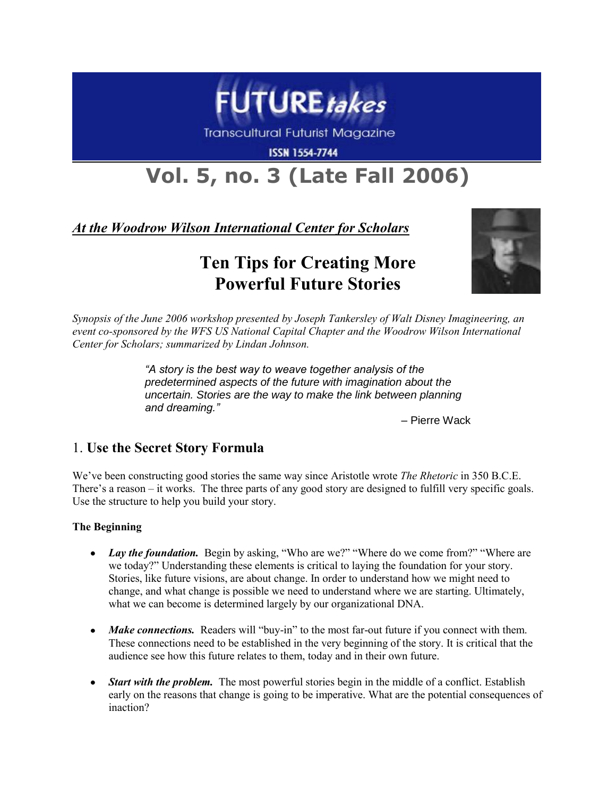

**Transcultural Futurist Magazine** 

**ISSN 1554-7744** 

# **Vol. 5, no. 3 (Late Fall 2006)**

*At the Woodrow Wilson International Center for Scholars*

# **Ten Tips for Creating More Powerful Future Stories**



*Synopsis of the June 2006 workshop presented by Joseph Tankersley of Walt Disney Imagineering, an event co-sponsored by the WFS US National Capital Chapter and the Woodrow Wilson International Center for Scholars; summarized by Lindan Johnson.*

> *"A story is the best way to weave together analysis of the predetermined aspects of the future with imagination about the uncertain. Stories are the way to make the link between planning and dreaming."*

> > – Pierre Wack

### 1. **Use the Secret Story Formula**

We've been constructing good stories the same way since Aristotle wrote *The Rhetoric* in 350 B.C.E. There's a reason – it works. The three parts of any good story are designed to fulfill very specific goals. Use the structure to help you build your story.

#### **The Beginning**

- *Lay the foundation.* Begin by asking, "Who are we?" "Where do we come from?" "Where are  $\bullet$ we today?" Understanding these elements is critical to laying the foundation for your story. Stories, like future visions, are about change. In order to understand how we might need to change, and what change is possible we need to understand where we are starting. Ultimately, what we can become is determined largely by our organizational DNA.
- Make connections. Readers will "buy-in" to the most far-out future if you connect with them. These connections need to be established in the very beginning of the story. It is critical that the audience see how this future relates to them, today and in their own future.
- *Start with the problem.* The most powerful stories begin in the middle of a conflict. Establish early on the reasons that change is going to be imperative. What are the potential consequences of inaction?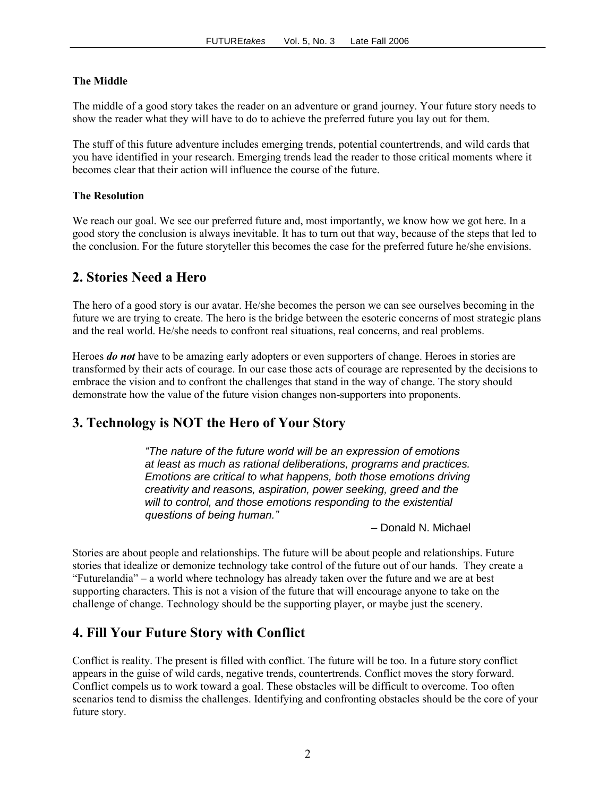#### **The Middle**

The middle of a good story takes the reader on an adventure or grand journey. Your future story needs to show the reader what they will have to do to achieve the preferred future you lay out for them.

The stuff of this future adventure includes emerging trends, potential countertrends, and wild cards that you have identified in your research. Emerging trends lead the reader to those critical moments where it becomes clear that their action will influence the course of the future.

#### **The Resolution**

We reach our goal. We see our preferred future and, most importantly, we know how we got here. In a good story the conclusion is always inevitable. It has to turn out that way, because of the steps that led to the conclusion. For the future storyteller this becomes the case for the preferred future he/she envisions.

#### **2. Stories Need a Hero**

The hero of a good story is our avatar. He/she becomes the person we can see ourselves becoming in the future we are trying to create. The hero is the bridge between the esoteric concerns of most strategic plans and the real world. He/she needs to confront real situations, real concerns, and real problems.

Heroes *do not* have to be amazing early adopters or even supporters of change. Heroes in stories are transformed by their acts of courage. In our case those acts of courage are represented by the decisions to embrace the vision and to confront the challenges that stand in the way of change. The story should demonstrate how the value of the future vision changes non-supporters into proponents.

#### **3. Technology is NOT the Hero of Your Story**

*"The nature of the future world will be an expression of emotions at least as much as rational deliberations, programs and practices. Emotions are critical to what happens, both those emotions driving creativity and reasons, aspiration, power seeking, greed and the will to control, and those emotions responding to the existential questions of being human."*

*–* Donald N. Michael

Stories are about people and relationships. The future will be about people and relationships. Future stories that idealize or demonize technology take control of the future out of our hands. They create a ―Futurelandia‖ – a world where technology has already taken over the future and we are at best supporting characters. This is not a vision of the future that will encourage anyone to take on the challenge of change. Technology should be the supporting player, or maybe just the scenery.

#### **4. Fill Your Future Story with Conflict**

Conflict is reality. The present is filled with conflict. The future will be too. In a future story conflict appears in the guise of wild cards, negative trends, countertrends. Conflict moves the story forward. Conflict compels us to work toward a goal. These obstacles will be difficult to overcome. Too often scenarios tend to dismiss the challenges. Identifying and confronting obstacles should be the core of your future story.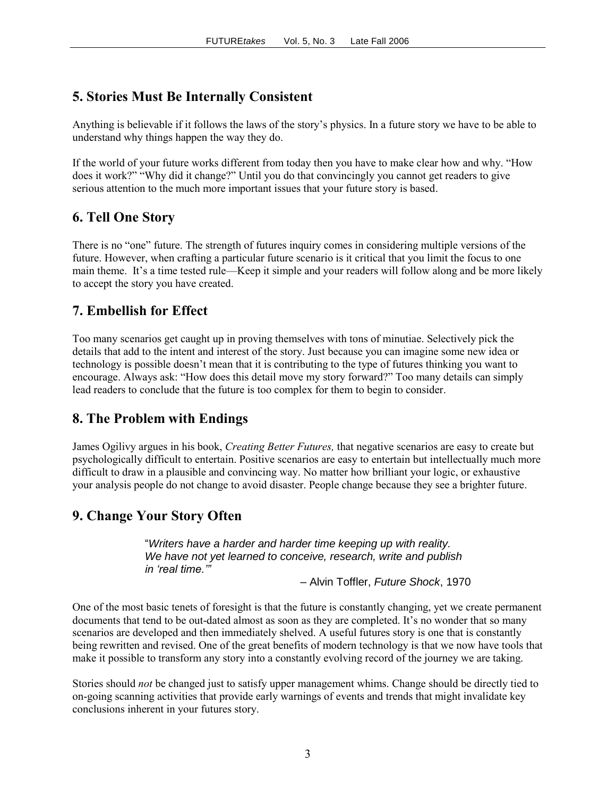## **5. Stories Must Be Internally Consistent**

Anything is believable if it follows the laws of the story's physics. In a future story we have to be able to understand why things happen the way they do.

If the world of your future works different from today then you have to make clear how and why. "How does it work?" "Why did it change?" Until you do that convincingly you cannot get readers to give serious attention to the much more important issues that your future story is based.

### **6. Tell One Story**

There is no "one" future. The strength of futures inquiry comes in considering multiple versions of the future. However, when crafting a particular future scenario is it critical that you limit the focus to one main theme. It's a time tested rule—Keep it simple and your readers will follow along and be more likely to accept the story you have created.

### **7. Embellish for Effect**

Too many scenarios get caught up in proving themselves with tons of minutiae. Selectively pick the details that add to the intent and interest of the story. Just because you can imagine some new idea or technology is possible doesn't mean that it is contributing to the type of futures thinking you want to encourage. Always ask: "How does this detail move my story forward?" Too many details can simply lead readers to conclude that the future is too complex for them to begin to consider.

### **8. The Problem with Endings**

James Ogilivy argues in his book, *Creating Better Futures,* that negative scenarios are easy to create but psychologically difficult to entertain. Positive scenarios are easy to entertain but intellectually much more difficult to draw in a plausible and convincing way. No matter how brilliant your logic, or exhaustive your analysis people do not change to avoid disaster. People change because they see a brighter future.

### **9. Change Your Story Often**

"*Writers have a harder and harder time keeping up with reality. We have not yet learned to conceive, research, write and publish in "real time.""*

– Alvin Toffler, *Future Shock*, 1970

One of the most basic tenets of foresight is that the future is constantly changing, yet we create permanent documents that tend to be out-dated almost as soon as they are completed. It's no wonder that so many scenarios are developed and then immediately shelved. A useful futures story is one that is constantly being rewritten and revised. One of the great benefits of modern technology is that we now have tools that make it possible to transform any story into a constantly evolving record of the journey we are taking.

Stories should *not* be changed just to satisfy upper management whims. Change should be directly tied to on-going scanning activities that provide early warnings of events and trends that might invalidate key conclusions inherent in your futures story.